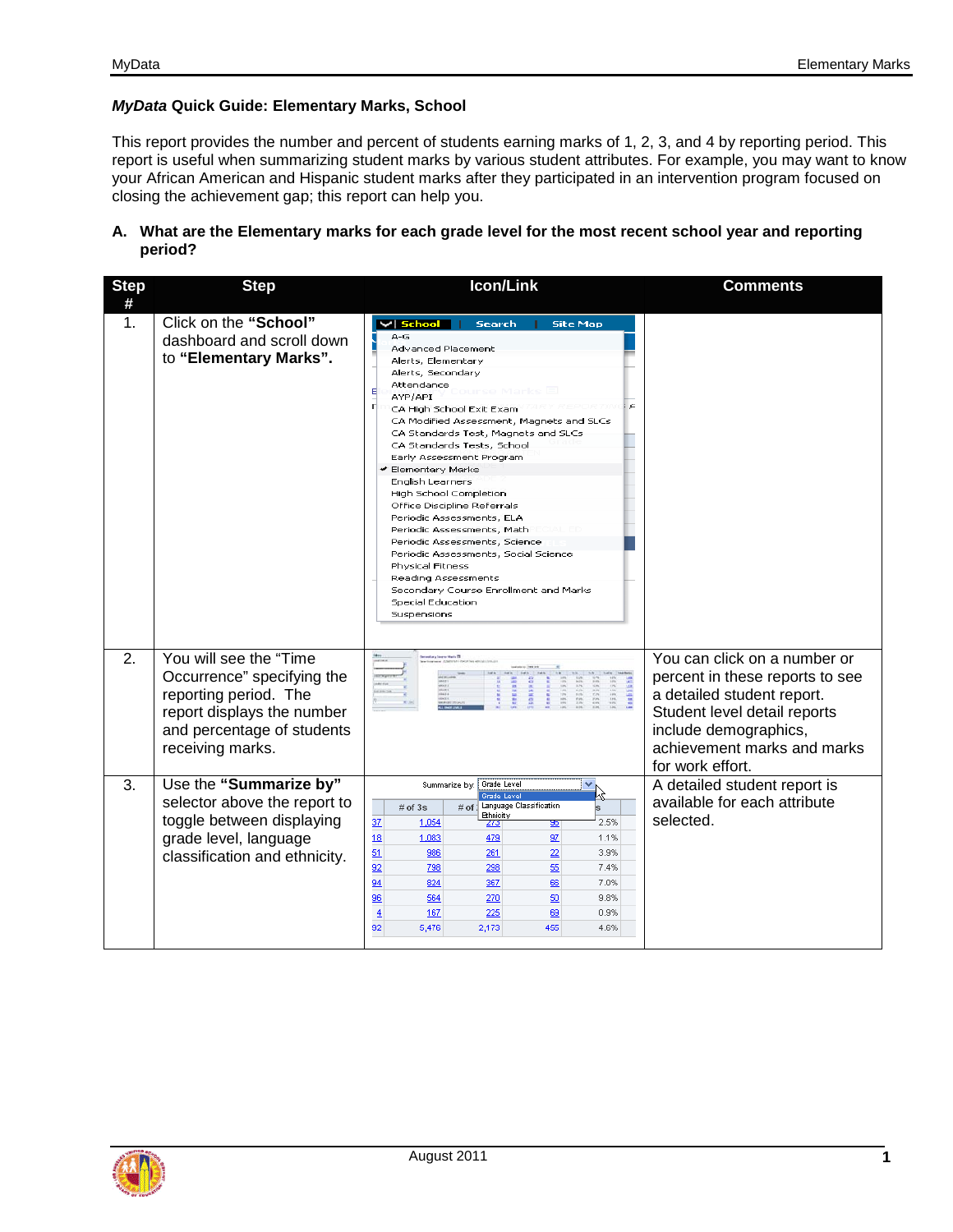## *MyData* **Quick Guide: Elementary Marks, School**

This report provides the number and percent of students earning marks of 1, 2, 3, and 4 by reporting period. This report is useful when summarizing student marks by various student attributes. For example, you may want to know your African American and Hispanic student marks after they participated in an intervention program focused on closing the achievement gap; this report can help you.

## **A. What are the Elementary marks for each grade level for the most recent school year and reporting period?**

| <b>Step</b><br># | <b>Step</b>                                                                                                                                                   | <b>Icon/Link</b>                                                                                                                                                                                                                                                                                                                                                                                                                                                                                                                                                                                                                                                                                                     | <b>Comments</b>                                                                                                                                                                                           |
|------------------|---------------------------------------------------------------------------------------------------------------------------------------------------------------|----------------------------------------------------------------------------------------------------------------------------------------------------------------------------------------------------------------------------------------------------------------------------------------------------------------------------------------------------------------------------------------------------------------------------------------------------------------------------------------------------------------------------------------------------------------------------------------------------------------------------------------------------------------------------------------------------------------------|-----------------------------------------------------------------------------------------------------------------------------------------------------------------------------------------------------------|
| 1.               | Click on the "School"<br>dashboard and scroll down<br>to "Elementary Marks".                                                                                  | $\vee$ School<br><b>Site Map</b><br><b>Search</b><br>$A-G$<br><b>Advanced Placement</b><br>Alerts, Elementary<br>Alerts, Secondary<br>Attendance<br>Е<br>AYP/API<br>п<br>CA High School Exit Exam<br>CA Modified Assessment, Magnets and SLCs<br>CA Standards Test, Magnets and SLCs<br>CA Standards Tests, School<br>Early Assessment Program<br>✔ Elementary Marks<br>English Learners<br>High School Completion<br>Office Discipline Referrals<br>Periodic Assessments, ELA<br>Periodic Assessments, Math<br>Periodic Assessments, Science<br>Periodic Assessments, Social Science<br>Physical Fitness<br>Reading Assessments<br>Secondary Course Enrollment and Marks<br><b>Special Education</b><br>Suspensions |                                                                                                                                                                                                           |
| 2.               | You will see the "Time<br>Occurrence" specifying the<br>reporting period. The<br>report displays the number<br>and percentage of students<br>receiving marks. | El classif ecosis (also                                                                                                                                                                                                                                                                                                                                                                                                                                                                                                                                                                                                                                                                                              | You can click on a number or<br>percent in these reports to see<br>a detailed student report.<br>Student level detail reports<br>include demographics,<br>achievement marks and marks<br>for work effort. |
| 3.               | Use the "Summarize by"<br>selector above the report to<br>toggle between displaying<br>grade level, language<br>classification and ethnicity.                 | Grade Level<br>Summarize by:<br>Grade Level<br>Language Classification<br>$#$ of 3s<br>$#$ of $\overline{)}$<br><b>Bhnicity</b><br>37<br>1,054<br>2.5%<br><u> 273</u><br>क्र<br>18<br>1,083<br>479<br>97<br>1.1%<br>51<br>22<br>986<br>261<br>3.9%<br>92<br>55<br>798<br>298<br>7.4%<br>94<br>824<br>367<br>7.0%<br>66<br>96<br>50<br>564<br>270<br>9.8%<br>$\overline{4}$<br>167<br>225<br>69<br>0.9%<br>92<br>5,476<br>2,173<br>455<br>4.6%                                                                                                                                                                                                                                                                        | A detailed student report is<br>available for each attribute<br>selected.                                                                                                                                 |